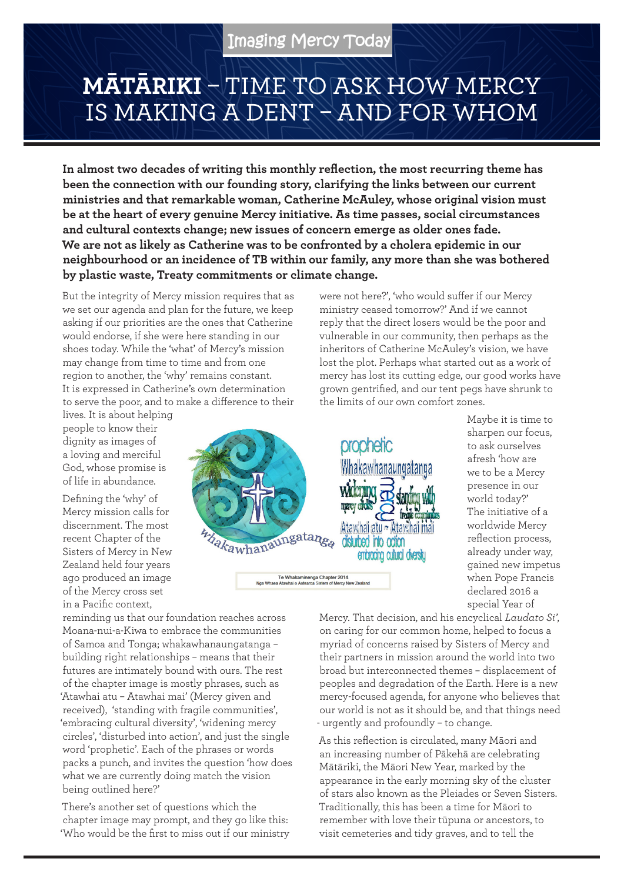## **MĀTĀRIKI** – TIME TO ASK HOW MERCY IS MAKING A DENT – AND FOR WHOM

**In almost two decades of writing this monthly reflection, the most recurring theme has been the connection with our founding story, clarifying the links between our current ministries and that remarkable woman, Catherine McAuley, whose original vision must be at the heart of every genuine Mercy initiative. As time passes, social circumstances and cultural contexts change; new issues of concern emerge as older ones fade. We are not as likely as Catherine was to be confronted by a cholera epidemic in our neighbourhood or an incidence of TB within our family, any more than she was bothered by plastic waste, Treaty commitments or climate change.** 

But the integrity of Mercy mission requires that as we set our agenda and plan for the future, we keep asking if our priorities are the ones that Catherine would endorse, if she were here standing in our shoes today. While the 'what' of Mercy's mission may change from time to time and from one region to another, the 'why' remains constant. It is expressed in Catherine's own determination to serve the poor, and to make a difference to their

lives. It is about helping people to know their dignity as images of a loving and merciful God, whose promise is of life in abundance.

Defining the 'why' of Mercy mission calls for discernment. The most recent Chapter of the Sisters of Mercy in New Zealand held four years ago produced an image of the Mercy cross set in a Pacific context,

reminding us that our foundation reaches across Moana-nui-a-Kiwa to embrace the communities of Samoa and Tonga; whakawhanaungatanga – building right relationships – means that their futures are intimately bound with ours. The rest of the chapter image is mostly phrases, such as 'Atawhai atu – Atawhai mai' (Mercy given and received), 'standing with fragile communities', 'embracing cultural diversity', 'widening mercy circles', 'disturbed into action', and just the single word 'prophetic'. Each of the phrases or words packs a punch, and invites the question 'how does what we are currently doing match the vision being outlined here?'

There's another set of questions which the chapter image may prompt, and they go like this: 'Who would be the first to miss out if our ministry



Te Whakaminenga Chapter 2014<br>Nga Whaea Atawhai o Aotearoa Sisters of Mercy New Zeala

were not here?', 'who would suffer if our Mercy ministry ceased tomorrow?' And if we cannot reply that the direct losers would be the poor and vulnerable in our community, then perhaps as the inheritors of Catherine McAuley's vision, we have lost the plot. Perhaps what started out as a work of mercy has lost its cutting edge, our good works have grown gentrified, and our tent pegs have shrunk to the limits of our own comfort zones.

> Maybe it is time to sharpen our focus, to ask ourselves afresh 'how are we to be a Mercy presence in our world today?' The initiative of a worldwide Mercy reflection process, already under way, gained new impetus when Pope Francis declared 2016 a special Year of

Mercy. That decision, and his encyclical *Laudato Si'*, on caring for our common home, helped to focus a myriad of concerns raised by Sisters of Mercy and their partners in mission around the world into two broad but interconnected themes – displacement of peoples and degradation of the Earth. Here is a new mercy-focused agenda, for anyone who believes that our world is not as it should be, and that things need - urgently and profoundly – to change.

As this reflection is circulated, many Māori and an increasing number of Pākehā are celebrating Mātāriki, the Māori New Year, marked by the appearance in the early morning sky of the cluster of stars also known as the Pleiades or Seven Sisters. Traditionally, this has been a time for Māori to remember with love their tūpuna or ancestors, to visit cemeteries and tidy graves, and to tell the